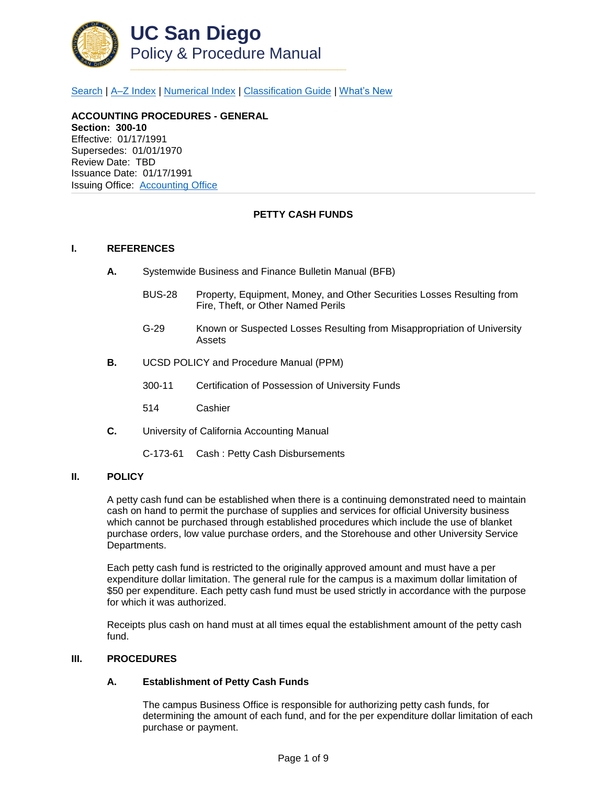

[Search](http://adminrecords.ucsd.edu/ppm/index.html) | [A–Z Index](http://adminrecords.ucsd.edu/ppm/ppmindex.html) | [Numerical Index](http://adminrecords.ucsd.edu/ppm/numerical.html) | [Classification Guide](http://adminrecords.ucsd.edu/ppm/alphabetical.html) | [What's New](http://adminrecords.ucsd.edu/ppm/whatsnew.html)

# **ACCOUNTING PROCEDURES - GENERAL**

**Section: 300-10** Effective: 01/17/1991 Supersedes: 01/01/1970 Review Date: TBD Issuance Date: 01/17/1991 Issuing Office:[Accounting Office](http://blink.ucsd.edu/sponsor/BFS/divisions/general-accounting/)

## **PETTY CASH FUNDS**

## **I. REFERENCES**

- **A.** Systemwide Business and Finance Bulletin Manual (BFB)
	- BUS-28 Property, Equipment, Money, and Other Securities Losses Resulting from Fire, Theft, or Other Named Perils
	- G-29 Known or Suspected Losses Resulting from Misappropriation of University Assets
- **B.** UCSD POLICY and Procedure Manual (PPM)
	- 300-11 Certification of Possession of University Funds
	- 514 Cashier
- **C.** University of California Accounting Manual
	- C-173-61 Cash : Petty Cash Disbursements

#### **II. POLICY**

A petty cash fund can be established when there is a continuing demonstrated need to maintain cash on hand to permit the purchase of supplies and services for official University business which cannot be purchased through established procedures which include the use of blanket purchase orders, low value purchase orders, and the Storehouse and other University Service Departments.

Each petty cash fund is restricted to the originally approved amount and must have a per expenditure dollar limitation. The general rule for the campus is a maximum dollar limitation of \$50 per expenditure. Each petty cash fund must be used strictly in accordance with the purpose for which it was authorized.

Receipts plus cash on hand must at all times equal the establishment amount of the petty cash fund.

#### **III. PROCEDURES**

#### **A. Establishment of Petty Cash Funds**

The campus Business Office is responsible for authorizing petty cash funds, for determining the amount of each fund, and for the per expenditure dollar limitation of each purchase or payment.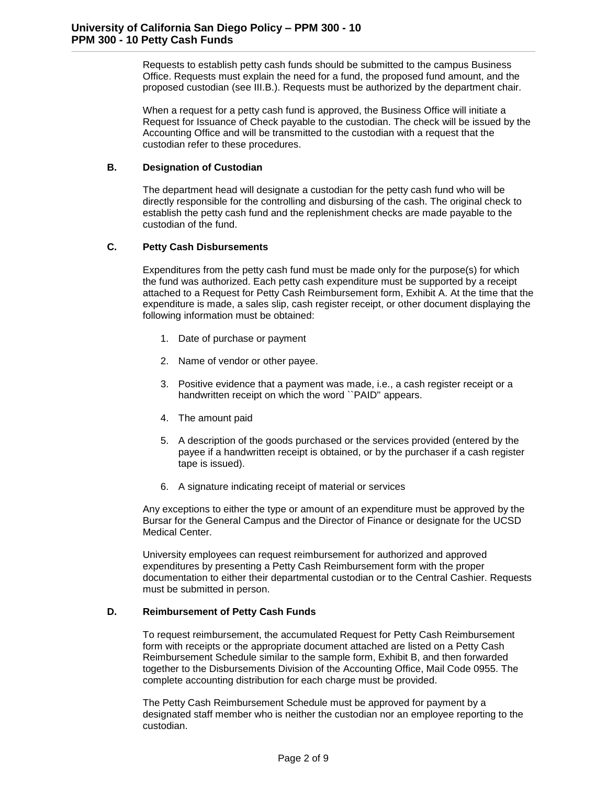Requests to establish petty cash funds should be submitted to the campus Business Office. Requests must explain the need for a fund, the proposed fund amount, and the proposed custodian (see III.B.). Requests must be authorized by the department chair.

When a request for a petty cash fund is approved, the Business Office will initiate a Request for Issuance of Check payable to the custodian. The check will be issued by the Accounting Office and will be transmitted to the custodian with a request that the custodian refer to these procedures.

## **B. Designation of Custodian**

The department head will designate a custodian for the petty cash fund who will be directly responsible for the controlling and disbursing of the cash. The original check to establish the petty cash fund and the replenishment checks are made payable to the custodian of the fund.

# **C. Petty Cash Disbursements**

Expenditures from the petty cash fund must be made only for the purpose(s) for which the fund was authorized. Each petty cash expenditure must be supported by a receipt attached to a Request for Petty Cash Reimbursement form, Exhibit A. At the time that the expenditure is made, a sales slip, cash register receipt, or other document displaying the following information must be obtained:

- 1. Date of purchase or payment
- 2. Name of vendor or other payee.
- 3. Positive evidence that a payment was made, i.e., a cash register receipt or a handwritten receipt on which the word ``PAID'' appears.
- 4. The amount paid
- 5. A description of the goods purchased or the services provided (entered by the payee if a handwritten receipt is obtained, or by the purchaser if a cash register tape is issued).
- 6. A signature indicating receipt of material or services

Any exceptions to either the type or amount of an expenditure must be approved by the Bursar for the General Campus and the Director of Finance or designate for the UCSD Medical Center.

University employees can request reimbursement for authorized and approved expenditures by presenting a Petty Cash Reimbursement form with the proper documentation to either their departmental custodian or to the Central Cashier. Requests must be submitted in person.

# **D. Reimbursement of Petty Cash Funds**

To request reimbursement, the accumulated Request for Petty Cash Reimbursement form with receipts or the appropriate document attached are listed on a Petty Cash Reimbursement Schedule similar to the sample form, Exhibit B, and then forwarded together to the Disbursements Division of the Accounting Office, Mail Code 0955. The complete accounting distribution for each charge must be provided.

The Petty Cash Reimbursement Schedule must be approved for payment by a designated staff member who is neither the custodian nor an employee reporting to the custodian.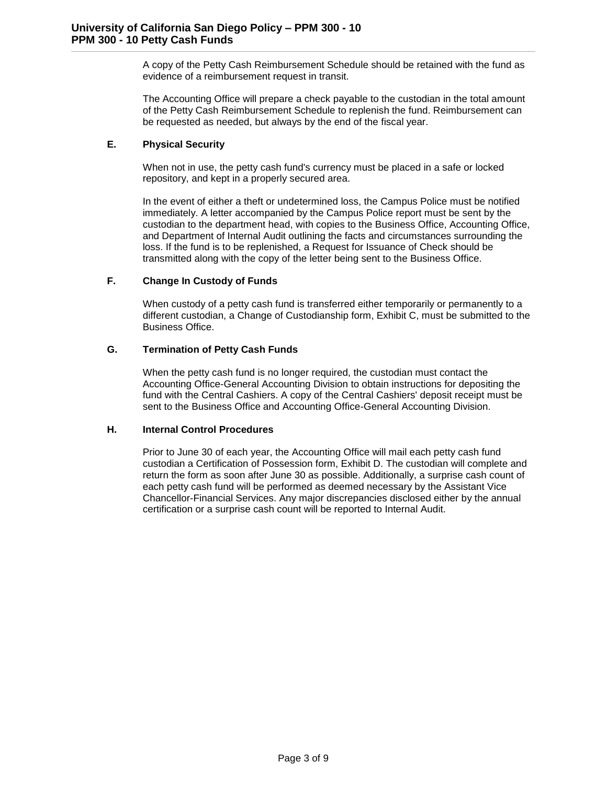A copy of the Petty Cash Reimbursement Schedule should be retained with the fund as evidence of a reimbursement request in transit.

The Accounting Office will prepare a check payable to the custodian in the total amount of the Petty Cash Reimbursement Schedule to replenish the fund. Reimbursement can be requested as needed, but always by the end of the fiscal year.

# **E. Physical Security**

When not in use, the petty cash fund's currency must be placed in a safe or locked repository, and kept in a properly secured area.

In the event of either a theft or undetermined loss, the Campus Police must be notified immediately. A letter accompanied by the Campus Police report must be sent by the custodian to the department head, with copies to the Business Office, Accounting Office, and Department of Internal Audit outlining the facts and circumstances surrounding the loss. If the fund is to be replenished, a Request for Issuance of Check should be transmitted along with the copy of the letter being sent to the Business Office.

## **F. Change In Custody of Funds**

When custody of a petty cash fund is transferred either temporarily or permanently to a different custodian, a Change of Custodianship form, Exhibit C, must be submitted to the Business Office.

## **G. Termination of Petty Cash Funds**

When the petty cash fund is no longer required, the custodian must contact the Accounting Office-General Accounting Division to obtain instructions for depositing the fund with the Central Cashiers. A copy of the Central Cashiers' deposit receipt must be sent to the Business Office and Accounting Office-General Accounting Division.

#### **H. Internal Control Procedures**

Prior to June 30 of each year, the Accounting Office will mail each petty cash fund custodian a Certification of Possession form, Exhibit D. The custodian will complete and return the form as soon after June 30 as possible. Additionally, a surprise cash count of each petty cash fund will be performed as deemed necessary by the Assistant Vice Chancellor-Financial Services. Any major discrepancies disclosed either by the annual certification or a surprise cash count will be reported to Internal Audit.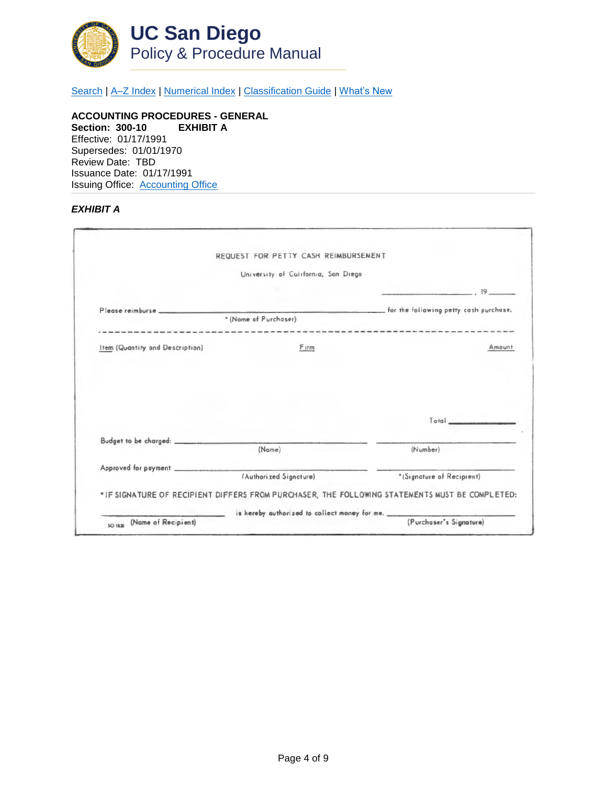

[Search](http://adminrecords.ucsd.edu/ppm/index.html) | A-Z Index | [Numerical Index](http://adminrecords.ucsd.edu/ppm/numerical.html) | [Classification Guide](http://adminrecords.ucsd.edu/ppm/alphabetical.html) | [What's New](http://adminrecords.ucsd.edu/ppm/whatsnew.html)

**ACCOUNTING PROCEDURES - GENERAL Section: 300-10 EXHIBIT A** Effective: 01/17/1991 Supersedes: 01/01/1970 Review Date: TBD Issuance Date: 01/17/1991 Issuing Office:[Accounting Office](http://blink.ucsd.edu/sponsor/BFS/divisions/general-accounting/)

#### *EXHIBIT A*

|                                 | REQUEST FOR PETTY CASH REIMBURSEMENT |                                                                                                                             |
|---------------------------------|--------------------------------------|-----------------------------------------------------------------------------------------------------------------------------|
|                                 | University of California, San Diego  |                                                                                                                             |
|                                 |                                      | 19                                                                                                                          |
|                                 |                                      | for the following petty cash purchase.                                                                                      |
|                                 | * (Nome of Purchaser)                | ------------------------------                                                                                              |
| Item (Quantity and Description) | Firm                                 | Amount                                                                                                                      |
|                                 |                                      |                                                                                                                             |
|                                 |                                      |                                                                                                                             |
|                                 |                                      | Total                                                                                                                       |
|                                 | (Name)                               | (Number)                                                                                                                    |
|                                 |                                      |                                                                                                                             |
|                                 | (Authorized Signature)               | *(Signature of Recipient)<br>*IF SIGNATURE OF RECIPIENT DIFFERS FROM PURCHASER, THE FOLLOWING STATEMENTS MUST BE COMPLETED: |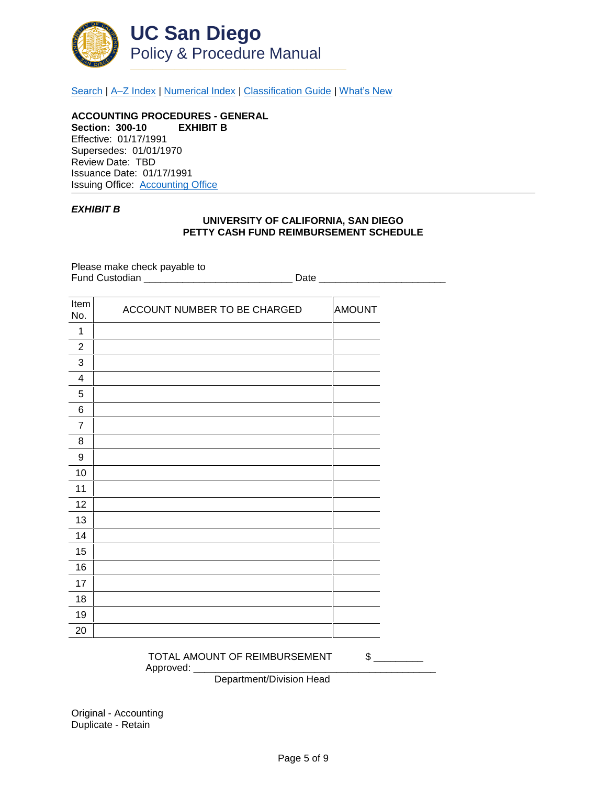

[Search](http://adminrecords.ucsd.edu/ppm/index.html) | [A–Z Index](http://adminrecords.ucsd.edu/ppm/ppmindex.html) | [Numerical Index](http://adminrecords.ucsd.edu/ppm/numerical.html) | [Classification Guide](http://adminrecords.ucsd.edu/ppm/alphabetical.html) | [What's New](http://adminrecords.ucsd.edu/ppm/whatsnew.html)

**ACCOUNTING PROCEDURES - GENERAL Section: 300-10 EXHIBIT B** Effective: 01/17/1991 Supersedes: 01/01/1970 Review Date: TBD Issuance Date: 01/17/1991 Issuing Office:[Accounting Office](http://blink.ucsd.edu/sponsor/BFS/divisions/general-accounting/)

#### *EXHIBIT B*

#### **UNIVERSITY OF CALIFORNIA, SAN DIEGO PETTY CASH FUND REIMBURSEMENT SCHEDULE**

Please make check payable to Fund Custodian \_\_\_\_\_\_\_\_\_\_\_\_\_\_\_\_\_\_\_\_\_\_\_\_\_\_\_ Date \_\_\_\_\_\_\_\_\_\_\_\_\_\_\_\_\_\_\_\_\_\_\_

| Item<br>No.             | ACCOUNT NUMBER TO BE CHARGED | <b>AMOUNT</b> |
|-------------------------|------------------------------|---------------|
| 1                       |                              |               |
| $\overline{2}$          |                              |               |
| 3                       |                              |               |
| $\overline{\mathbf{4}}$ |                              |               |
| 5                       |                              |               |
| 6                       |                              |               |
| 7                       |                              |               |
| 8                       |                              |               |
| 9                       |                              |               |
| 10                      |                              |               |
| 11                      |                              |               |
| 12                      |                              |               |
| 13                      |                              |               |
| 14                      |                              |               |
| 15                      |                              |               |
| 16                      |                              |               |
| 17                      |                              |               |
| 18                      |                              |               |
| 19                      |                              |               |
| 20                      |                              |               |

TOTAL AMOUNT OF REIMBURSEMENT  $$$ Approved: \_\_\_\_\_

Department/Division Head

Original - Accounting Duplicate - Retain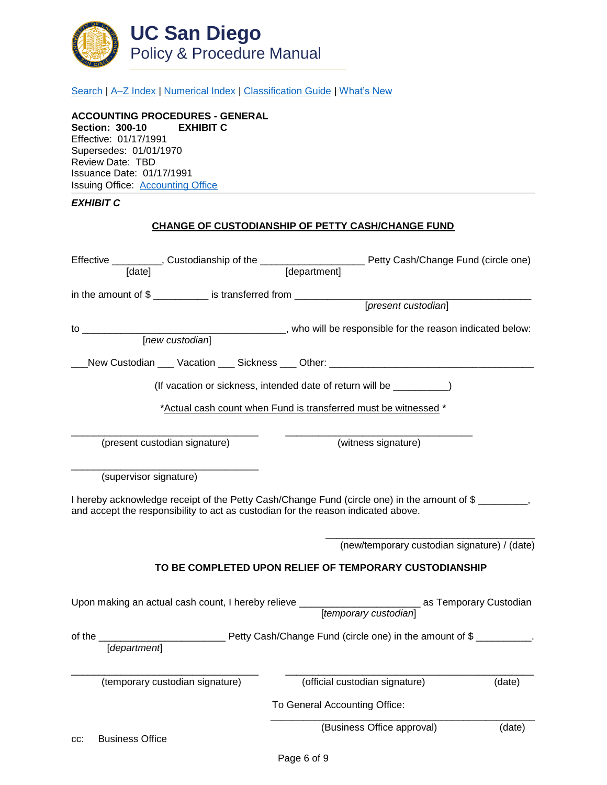

[Search](http://adminrecords.ucsd.edu/ppm/index.html) | A-Z Index | [Numerical Index](http://adminrecords.ucsd.edu/ppm/numerical.html) | [Classification Guide](http://adminrecords.ucsd.edu/ppm/alphabetical.html) | [What's New](http://adminrecords.ucsd.edu/ppm/whatsnew.html)

**ACCOUNTING PROCEDURES - GENERAL Section: 300-10 EXHIBIT C** Effective: 01/17/1991 Supersedes: 01/01/1970 Review Date: TBD Issuance Date: 01/17/1991 Issuing Office:[Accounting Office](http://blink.ucsd.edu/sponsor/BFS/divisions/general-accounting/)

# *EXHIBIT C*

## **CHANGE OF CUSTODIANSHIP OF PETTY CASH/CHANGE FUND**

| [date]                        |                                                                                   | [department]                  |                                                                                                          |        |
|-------------------------------|-----------------------------------------------------------------------------------|-------------------------------|----------------------------------------------------------------------------------------------------------|--------|
|                               | in the amount of \$                                                               |                               | [present custodian]                                                                                      |        |
|                               |                                                                                   |                               |                                                                                                          |        |
|                               |                                                                                   |                               |                                                                                                          |        |
|                               |                                                                                   |                               | _New Custodian ___ Vacation ___ Sickness ___ Other: ____________________________                         |        |
|                               | (If vacation or sickness, intended date of return will be ___________)            |                               |                                                                                                          |        |
|                               | *Actual cash count when Fund is transferred must be witnessed *                   |                               |                                                                                                          |        |
|                               | (present custodian signature)                                                     |                               | (witness signature)                                                                                      |        |
| (supervisor signature)        |                                                                                   |                               |                                                                                                          |        |
|                               | and accept the responsibility to act as custodian for the reason indicated above. |                               | I hereby acknowledge receipt of the Petty Cash/Change Fund (circle one) in the amount of \$              |        |
|                               |                                                                                   |                               | (new/temporary custodian signature) / (date)                                                             |        |
|                               |                                                                                   |                               | TO BE COMPLETED UPON RELIEF OF TEMPORARY CUSTODIANSHIP                                                   |        |
|                               |                                                                                   |                               | Upon making an actual cash count, I hereby relieve ______________________________ as Temporary Custodian |        |
|                               |                                                                                   |                               |                                                                                                          |        |
| [department]                  |                                                                                   |                               |                                                                                                          |        |
|                               | (temporary custodian signature)                                                   |                               | (official custodian signature)                                                                           | (date) |
|                               |                                                                                   | To General Accounting Office: |                                                                                                          |        |
| <b>Business Office</b><br>CC: |                                                                                   |                               | (Business Office approval)                                                                               | (date) |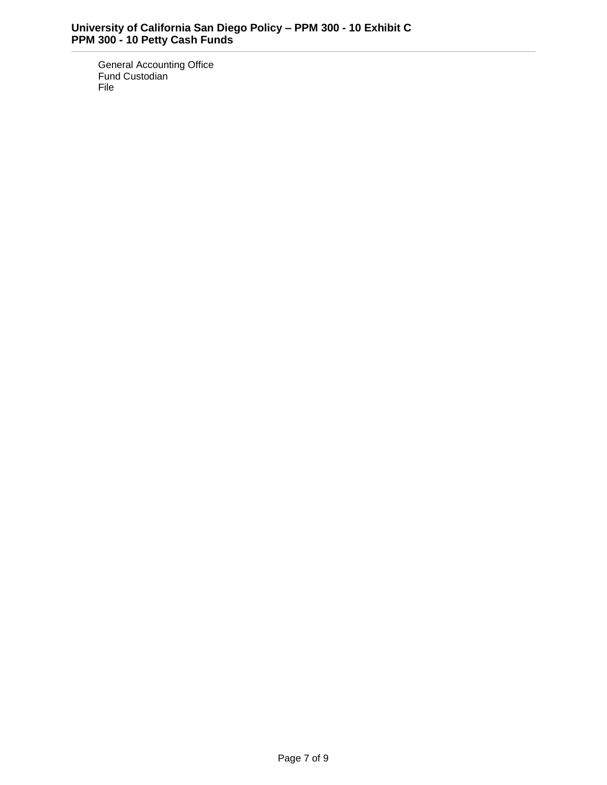General Accounting Office Fund Custodian File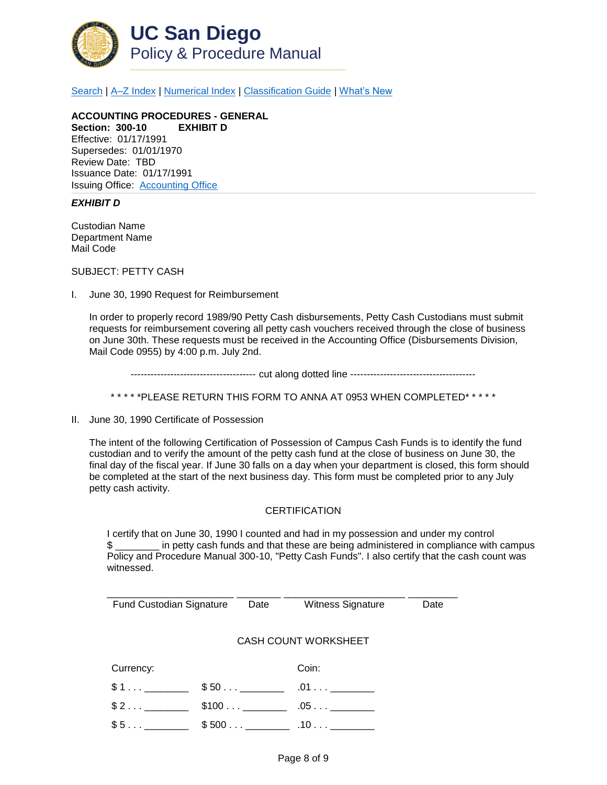

[Search](http://adminrecords.ucsd.edu/ppm/index.html) | [A–Z Index](http://adminrecords.ucsd.edu/ppm/ppmindex.html) | [Numerical Index](http://adminrecords.ucsd.edu/ppm/numerical.html) | [Classification Guide](http://adminrecords.ucsd.edu/ppm/alphabetical.html) | [What's New](http://adminrecords.ucsd.edu/ppm/whatsnew.html)

**ACCOUNTING PROCEDURES - GENERAL Section: 300-10 EXHIBIT D** Effective: 01/17/1991 Supersedes: 01/01/1970 Review Date: TBD Issuance Date: 01/17/1991 Issuing Office:[Accounting Office](http://blink.ucsd.edu/sponsor/BFS/divisions/general-accounting/)

### *EXHIBIT D*

Custodian Name Department Name Mail Code

SUBJECT: PETTY CASH

I. June 30, 1990 Request for Reimbursement

In order to properly record 1989/90 Petty Cash disbursements, Petty Cash Custodians must submit requests for reimbursement covering all petty cash vouchers received through the close of business on June 30th. These requests must be received in the Accounting Office (Disbursements Division, Mail Code 0955) by 4:00 p.m. July 2nd.

-------------------------------------- cut along dotted line --------------------------------------

\* \* \* \* \*PLEASE RETURN THIS FORM TO ANNA AT 0953 WHEN COMPLETED\* \* \* \* \*

II. June 30, 1990 Certificate of Possession

The intent of the following Certification of Possession of Campus Cash Funds is to identify the fund custodian and to verify the amount of the petty cash fund at the close of business on June 30, the final day of the fiscal year. If June 30 falls on a day when your department is closed, this form should be completed at the start of the next business day. This form must be completed prior to any July petty cash activity.

#### **CERTIFICATION**

I certify that on June 30, 1990 I counted and had in my possession and under my control \$ \_\_\_\_\_\_\_\_ in petty cash funds and that these are being administered in compliance with campus Policy and Procedure Manual 300-10, "Petty Cash Funds". I also certify that the cash count was witnessed.

| Fund Custodian Signature | Date           | <b>Witness Signature</b>    | Date |
|--------------------------|----------------|-----------------------------|------|
|                          |                |                             |      |
|                          |                |                             |      |
|                          |                | <b>CASH COUNT WORKSHEET</b> |      |
|                          |                |                             |      |
|                          |                |                             |      |
| Currency:                |                | Coin:                       |      |
| \$1                      | $$50$ ________ |                             |      |
|                          |                |                             |      |
| $$2$                     |                | $.05\dots$                  |      |
|                          |                |                             |      |
|                          |                |                             |      |
|                          |                |                             |      |